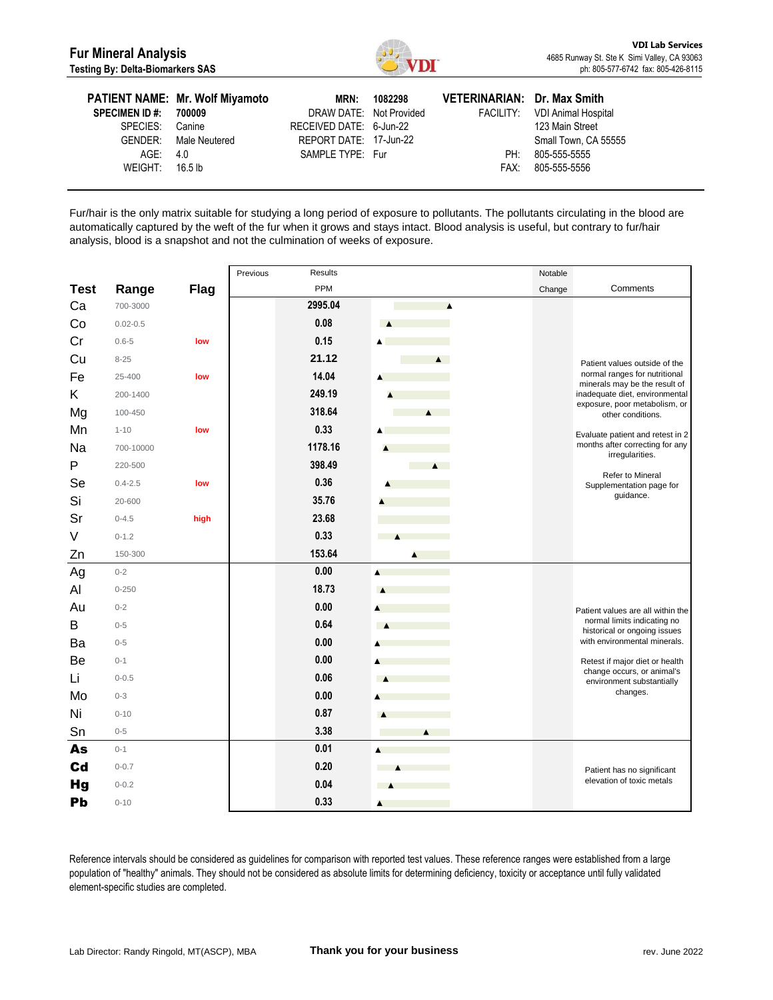

| <b>SPECIMEN ID#:</b><br>SPECIES: Canine | <b>PATIENT NAME: Mr. Wolf Miyamoto</b><br>700009<br>GENDER: Male Neutered | MRN:<br>DRAW DATE: Not Provided<br>RECEIVED DATE: 6-Jun-22<br>REPORT DATE: 17-Jun-22 | 1082298 | VETERINARIAN: Dr. Max Smith | FACILITY: VDI Animal Hospital<br>123 Main Street<br>Small Town, CA 55555 |
|-----------------------------------------|---------------------------------------------------------------------------|--------------------------------------------------------------------------------------|---------|-----------------------------|--------------------------------------------------------------------------|
| AGE: 4.0                                |                                                                           | SAMPLE TYPE: Fur                                                                     |         | PH:                         | 805-555-5555                                                             |
| WEIGHT: $16.5 \text{ lb}$               |                                                                           |                                                                                      |         |                             | FAX: 805-555-5556                                                        |

Fur/hair is the only matrix suitable for studying a long period of exposure to pollutants. The pollutants circulating in the blood are automatically captured by the weft of the fur when it grows and stays intact. Blood analysis is useful, but contrary to fur/hair analysis, blood is a snapshot and not the culmination of weeks of exposure.

|             |              |             | Previous | <b>Results</b> |                                     | Notable |                                                                 |
|-------------|--------------|-------------|----------|----------------|-------------------------------------|---------|-----------------------------------------------------------------|
| <b>Test</b> | Range        | <b>Flag</b> |          | PPM            |                                     | Change  | Comments                                                        |
| Ca          | 700-3000     |             |          | 2995.04        | $\blacktriangle$                    |         |                                                                 |
| Co          | $0.02 - 0.5$ |             |          | 0.08           | $\blacktriangle$                    |         |                                                                 |
| Cr          | $0.6 - 5$    | low         |          | 0.15           | ▲                                   |         |                                                                 |
| Cu          | $8 - 25$     |             |          | 21.12          | $\blacktriangle$                    |         | Patient values outside of the                                   |
| Fe          | 25-400       | low         |          | 14.04          | A                                   |         | normal ranges for nutritional                                   |
| Κ           | 200-1400     |             |          | 249.19         |                                     |         | minerals may be the result of<br>inadequate diet, environmental |
| Mg          | 100-450      |             |          | 318.64         | $\blacktriangle$                    |         | exposure, poor metabolism, or<br>other conditions.              |
| Mn          | $1 - 10$     | low         |          | 0.33           |                                     |         | Evaluate patient and retest in 2                                |
| Na          | 700-10000    |             |          | 1178.16        | ٨                                   |         | months after correcting for any                                 |
| P           | 220-500      |             |          | 398.49         | <b>Contract</b><br>$\blacktriangle$ |         | irregularities.                                                 |
| Se          | $0.4 - 2.5$  | low         |          | 0.36           |                                     |         | Refer to Mineral<br>Supplementation page for                    |
| Si          | 20-600       |             |          | 35.76          |                                     |         | guidance.                                                       |
| Sr          | $0 - 4.5$    | high        |          | 23.68          |                                     |         |                                                                 |
| V           | $0 - 1.2$    |             |          | 0.33           | <b>Contract</b><br>$\blacktriangle$ |         |                                                                 |
| Zn          | 150-300      |             |          | 153.64         | $\blacktriangle$                    |         |                                                                 |
| Ag          | $0 - 2$      |             |          | 0.00           | ۸                                   |         |                                                                 |
| Al          | $0 - 250$    |             |          | 18.73          |                                     |         |                                                                 |
| Au          | $0 - 2$      |             |          | 0.00           |                                     |         | Patient values are all within the                               |
| B           | $0 - 5$      |             |          | 0.64           |                                     |         | normal limits indicating no<br>historical or ongoing issues     |
| Ba          | $0 - 5$      |             |          | 0.00           |                                     |         | with environmental minerals.                                    |
| Be          | $0 - 1$      |             |          | 0.00           |                                     |         | Retest if major diet or health                                  |
| Li          | $0 - 0.5$    |             |          | 0.06           | <b>A</b>                            |         | change occurs, or animal's<br>environment substantially         |
| Mo          | $0 - 3$      |             |          | 0.00           |                                     |         | changes.                                                        |
| Ni          | $0 - 10$     |             |          | 0.87           | $\blacktriangle$                    |         |                                                                 |
| Sn          | $0 - 5$      |             |          | 3.38           | $\blacktriangle$                    |         |                                                                 |
| As          | $0 - 1$      |             |          | 0.01           |                                     |         |                                                                 |
| Cd          | $0 - 0.7$    |             |          | 0.20           |                                     |         | Patient has no significant                                      |
| <b>Hg</b>   | $0 - 0.2$    |             |          | 0.04           |                                     |         | elevation of toxic metals                                       |
| Pb          | $0 - 10$     |             |          | 0.33           | A                                   |         |                                                                 |

Reference intervals should be considered as guidelines for comparison with reported test values. These reference ranges were established from a large population of "healthy" animals. They should not be considered as absolute limits for determining deficiency, toxicity or acceptance until fully validated element-specific studies are completed.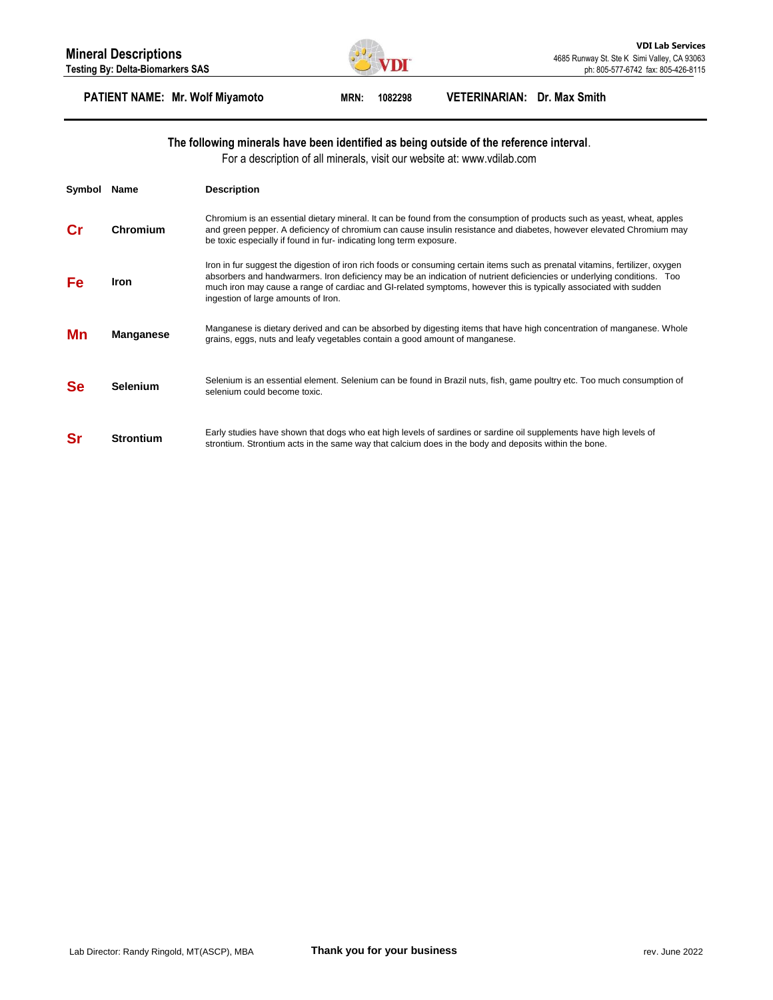

## **PATIENT NAME: Mr. Wolf Miyamoto MRN: 1082298 VETERINARIAN: Dr. Max Smith**

### **The following minerals have been identified as being outside of the reference interval**.

For a description of all minerals, visit our website at: www.vdilab.com

| Symbol    | Name             | <b>Description</b>                                                                                                                                                                                                                                                                                                                                                                                                 |
|-----------|------------------|--------------------------------------------------------------------------------------------------------------------------------------------------------------------------------------------------------------------------------------------------------------------------------------------------------------------------------------------------------------------------------------------------------------------|
| Сr        | Chromium         | Chromium is an essential dietary mineral. It can be found from the consumption of products such as yeast, wheat, apples<br>and green pepper. A deficiency of chromium can cause insulin resistance and diabetes, however elevated Chromium may<br>be toxic especially if found in fur-indicating long term exposure.                                                                                               |
| Fe        | Iron             | Iron in fur suggest the digestion of iron rich foods or consuming certain items such as prenatal vitamins, fertilizer, oxygen<br>absorbers and handwarmers. Iron deficiency may be an indication of nutrient deficiencies or underlying conditions. Too<br>much iron may cause a range of cardiac and GI-related symptoms, however this is typically associated with sudden<br>ingestion of large amounts of Iron. |
| Mn        | <b>Manganese</b> | Manganese is dietary derived and can be absorbed by digesting items that have high concentration of manganese. Whole<br>grains, eggs, nuts and leafy vegetables contain a good amount of manganese.                                                                                                                                                                                                                |
| <b>Se</b> | <b>Selenium</b>  | Selenium is an essential element. Selenium can be found in Brazil nuts, fish, game poultry etc. Too much consumption of<br>selenium could become toxic.                                                                                                                                                                                                                                                            |
| Sr        | <b>Strontium</b> | Early studies have shown that dogs who eat high levels of sardines or sardine oil supplements have high levels of<br>strontium. Strontium acts in the same way that calcium does in the body and deposits within the bone.                                                                                                                                                                                         |